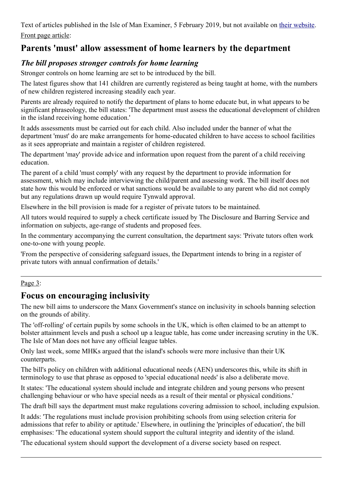Text of articles published in the Isle of Man Examiner, 5 February 2019, but not available on [their website.](http://www.iomtoday.co.im/) Front page article:

# **Parents 'must' allow assessment of home learners by the department**

#### *The bill proposes stronger controls for home learning*

Stronger controls on home learning are set to be introduced by the bill.

The latest figures show that 141 children are currently registered as being taught at home, with the numbers of new children registered increasing steadily each year.

Parents are already required to notify the department of plans to home educate but, in what appears to be significant phraseology, the bill states: 'The department must assess the educational development of children in the island receiving home education.'

It adds assessments must be carried out for each child. Also included under the banner of what the department 'must' do are make arrangements for home-educated children to have access to school facilities as it sees appropriate and maintain a register of children registered.

The department 'may' provide advice and information upon request from the parent of a child receiving education.

The parent of a child 'must comply' with any request by the department to provide information for assessment, which may include interviewing the child/parent and assessing work. The bill itself does not state how this would be enforced or what sanctions would be available to any parent who did not comply but any regulations drawn up would require Tynwald approval.

Elsewhere in the bill provision is made for a register of private tutors to be maintained.

All tutors would required to supply a check certificate issued by The Disclosure and Barring Service and information on subjects, age-range of students and proposed fees.

In the commentary accompanying the current consultation, the department says: 'Private tutors often work one-to-one with young people.

'From the perspective of considering safeguard issues, the Department intends to bring in a register of private tutors with annual confirmation of details.'

#### Page 3:

## **Focus on encouraging inclusivity**

The new bill aims to underscore the Manx Government's stance on inclusivity in schools banning selection on the grounds of ability.

The 'off-rolling' of certain pupils by some schools in the UK, which is often claimed to be an attempt to bolster attainment levels and push a school up a league table, has come under increasing scrutiny in the UK. The Isle of Man does not have any official league tables.

Only last week, some MHKs argued that the island's schools were more inclusive than their UK counterparts.

The bill's policy on children with additional educational needs (AEN) underscores this, while its shift in terminology to use that phrase as opposed to 'special educational needs' is also a deliberate move.

It states: 'The educational system should include and integrate children and young persons who present challenging behaviour or who have special needs as a result of their mental or physical conditions.'

The draft bill says the department must make regulations covering admission to school, including expulsion.

It adds: 'The regulations must include provision prohibiting schools from using selection criteria for admissions that refer to ability or aptitude.' Elsewhere, in outlining the 'principles of education', the bill emphasises: 'The educational system should support the cultural integrity and identity of the island.

'The educational system should support the development of a diverse society based on respect.